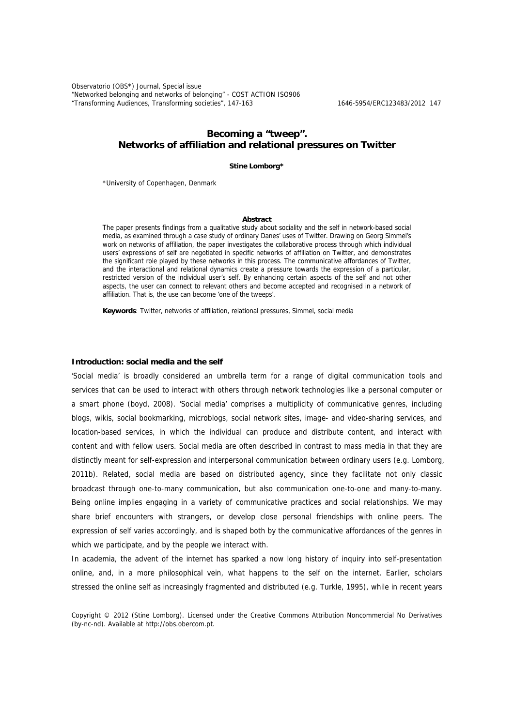Observatorio (OBS\*) Journal, Special issue "Networked belonging and networks of belonging" - COST ACTION ISO906 "Transforming Audiences, Transforming societies", 147-163 1646-5954/ERC123483/2012 147

# **Becoming a "tweep". Networks of affiliation and relational pressures on Twitter**

**Stine Lomborg\***

\*University of Copenhagen, Denmark

#### **Abstract**

The paper presents findings from a qualitative study about sociality and the self in network-based social media, as examined through a case study of ordinary Danes' uses of Twitter. Drawing on Georg Simmel's work on networks of affiliation, the paper investigates the collaborative process through which individual users' expressions of self are negotiated in specific networks of affiliation on Twitter, and demonstrates the significant role played by these networks in this process. The communicative affordances of Twitter, and the interactional and relational dynamics create a pressure towards the expression of a particular, restricted version of the individual user's self. By enhancing certain aspects of the self and not other aspects, the user can connect to relevant others and become accepted and recognised in a network of affiliation. That is, the use can become 'one of the tweeps'.

**Keywords**: Twitter, networks of affiliation, relational pressures, Simmel, social media

#### **Introduction: social media and the self**

'Social media' is broadly considered an umbrella term for a range of digital communication tools and services that can be used to interact with others through network technologies like a personal computer or a smart phone (boyd, 2008). 'Social media' comprises a multiplicity of communicative genres, including blogs, wikis, social bookmarking, microblogs, social network sites, image- and video-sharing services, and location-based services, in which the individual can produce and distribute content, and interact with content and with fellow users. Social media are often described in contrast to mass media in that they are distinctly meant for self-expression and interpersonal communication between ordinary users (e.g. Lomborg, 2011b). Related, social media are based on distributed agency, since they facilitate not only classic broadcast through one-to-many communication, but also communication one-to-one and many-to-many. Being online implies engaging in a variety of communicative practices and social relationships. We may share brief encounters with strangers, or develop close personal friendships with online peers. The expression of self varies accordingly, and is shaped both by the communicative affordances of the genres in which we participate, and by the people we interact with.

In academia, the advent of the internet has sparked a now long history of inquiry into self-presentation online, and, in a more philosophical vein, what happens to the self on the internet. Earlier, scholars stressed the online self as increasingly fragmented and distributed (e.g. Turkle, 1995), while in recent years

Copyright © 2012 (Stine Lomborg). Licensed under the Creative Commons Attribution Noncommercial No Derivatives (by-nc-nd). Available at http://obs.obercom.pt.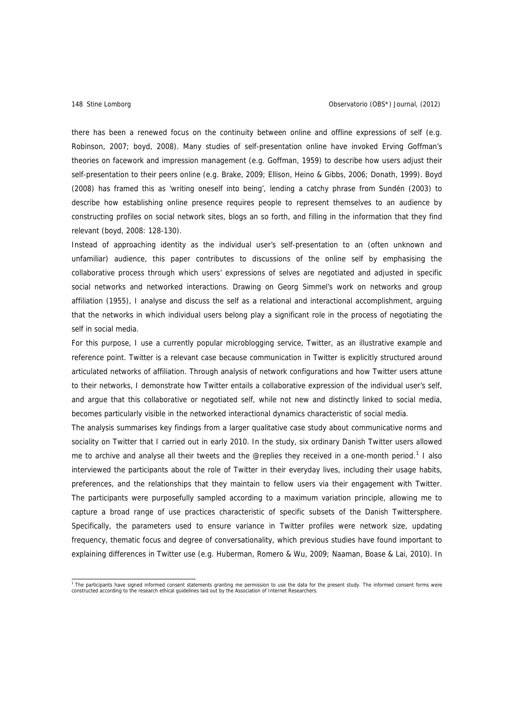there has been a renewed focus on the continuity between online and offline expressions of self (e.g. Robinson, 2007; boyd, 2008). Many studies of self-presentation online have invoked Erving Goffman's theories on facework and impression management (e.g. Goffman, 1959) to describe how users adjust their self-presentation to their peers online (e.g. Brake, 2009; Ellison, Heino & Gibbs, 2006; Donath, 1999). Boyd (2008) has framed this as 'writing oneself into being', lending a catchy phrase from Sundén (2003) to describe how establishing online presence requires people to represent themselves to an audience by constructing profiles on social network sites, blogs an so forth, and filling in the information that they find relevant (boyd, 2008: 128-130).

Instead of approaching identity as the individual user's self-presentation to an (often unknown and unfamiliar) audience, this paper contributes to discussions of the online self by emphasising the collaborative process through which users' expressions of selves are negotiated and adjusted in specific social networks and networked interactions. Drawing on Georg Simmel's work on networks and group affiliation (1955), I analyse and discuss the self as a relational and interactional accomplishment, arguing that the networks in which individual users belong play a significant role in the process of negotiating the self in social media.

For this purpose, I use a currently popular microblogging service, Twitter, as an illustrative example and reference point. Twitter is a relevant case because communication in Twitter is explicitly structured around articulated networks of affiliation. Through analysis of network configurations and how Twitter users attune to their networks, I demonstrate how Twitter entails a collaborative expression of the individual user's self, and argue that this collaborative or negotiated self, while not new and distinctly linked to social media, becomes particularly visible in the networked interactional dynamics characteristic of social media.

The analysis summarises key findings from a larger qualitative case study about communicative norms and sociality on Twitter that I carried out in early 2010. In the study, six ordinary Danish Twitter users allowed me to archive and analyse all their tweets and the @replies they received in a one-month period.<sup>[1](#page-1-0)</sup> I also interviewed the participants about the role of Twitter in their everyday lives, including their usage habits, preferences, and the relationships that they maintain to fellow users via their engagement with Twitter. The participants were purposefully sampled according to a maximum variation principle, allowing me to capture a broad range of use practices characteristic of specific subsets of the Danish Twittersphere. Specifically, the parameters used to ensure variance in Twitter profiles were network size, updating frequency, thematic focus and degree of conversationality, which previous studies have found important to explaining differences in Twitter use (e.g. Huberman, Romero & Wu, 2009; Naaman, Boase & Lai, 2010). In

<span id="page-1-0"></span><sup>&</sup>lt;sup>1</sup> The participants have signed informed consent statements granting me permission to use the data for the present study. The informed consent forms were<br>constructed according to the research ethical guidelines laid out b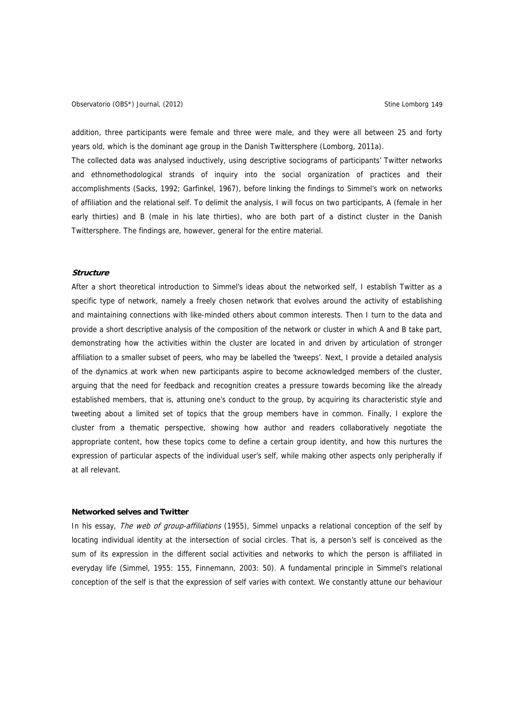Observatorio (OBS\*) Journal, (2012) Charles and Company Stine Lomborg 149

addition, three participants were female and three were male, and they were all between 25 and forty years old, which is the dominant age group in the Danish Twittersphere (Lomborg, 2011a).

The collected data was analysed inductively, using descriptive sociograms of participants' Twitter networks and ethnomethodological strands of inquiry into the social organization of practices and their accomplishments (Sacks, 1992; Garfinkel, 1967), before linking the findings to Simmel's work on networks of affiliation and the relational self. To delimit the analysis, I will focus on two participants, A (female in her early thirties) and B (male in his late thirties), who are both part of a distinct cluster in the Danish Twittersphere. The findings are, however, general for the entire material.

#### **Structure**

After a short theoretical introduction to Simmel's ideas about the networked self, I establish Twitter as a specific type of network, namely a freely chosen network that evolves around the activity of establishing and maintaining connections with like-minded others about common interests. Then I turn to the data and provide a short descriptive analysis of the composition of the network or cluster in which A and B take part, demonstrating how the activities within the cluster are located in and driven by articulation of stronger affiliation to a smaller subset of peers, who may be labelled the 'tweeps'. Next, I provide a detailed analysis of the dynamics at work when new participants aspire to become acknowledged members of the cluster, arguing that the need for feedback and recognition creates a pressure towards becoming like the already established members, that is, attuning one's conduct to the group, by acquiring its characteristic style and tweeting about a limited set of topics that the group members have in common. Finally, I explore the cluster from a thematic perspective, showing how author and readers collaboratively negotiate the appropriate content, how these topics come to define a certain group identity, and how this nurtures the expression of particular aspects of the individual user's self, while making other aspects only peripherally if at all relevant.

### **Networked selves and Twitter**

In his essay, The web of group-affiliations (1955), Simmel unpacks a relational conception of the self by locating individual identity at the intersection of social circles. That is, a person's self is conceived as the sum of its expression in the different social activities and networks to which the person is affiliated in everyday life (Simmel, 1955: 155, Finnemann, 2003: 50). A fundamental principle in Simmel's relational conception of the self is that the expression of self varies with context. We constantly attune our behaviour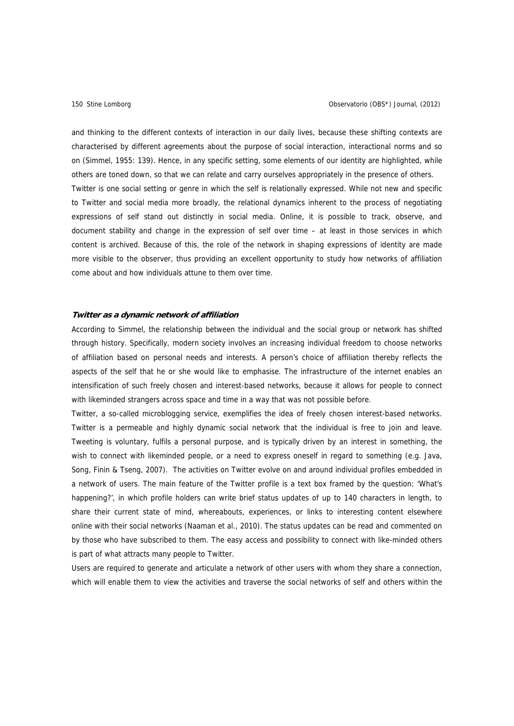and thinking to the different contexts of interaction in our daily lives, because these shifting contexts are characterised by different agreements about the purpose of social interaction, interactional norms and so on (Simmel, 1955: 139). Hence, in any specific setting, some elements of our identity are highlighted, while others are toned down, so that we can relate and carry ourselves appropriately in the presence of others. Twitter is one social setting or genre in which the self is relationally expressed. While not new and specific to Twitter and social media more broadly, the relational dynamics inherent to the process of negotiating expressions of self stand out distinctly in social media. Online, it is possible to track, observe, and document stability and change in the expression of self over time – at least in those services in which content is archived. Because of this, the role of the network in shaping expressions of identity are made more visible to the observer, thus providing an excellent opportunity to study how networks of affiliation come about and how individuals attune to them over time.

## **Twitter as a dynamic network of affiliation**

According to Simmel, the relationship between the individual and the social group or network has shifted through history. Specifically, modern society involves an increasing individual freedom to choose networks of affiliation based on personal needs and interests. A person's choice of affiliation thereby reflects the aspects of the self that he or she would like to emphasise. The infrastructure of the internet enables an intensification of such freely chosen and interest-based networks, because it allows for people to connect with likeminded strangers across space and time in a way that was not possible before.

Twitter, a so-called microblogging service, exemplifies the idea of freely chosen interest-based networks. Twitter is a permeable and highly dynamic social network that the individual is free to join and leave. Tweeting is voluntary, fulfils a personal purpose, and is typically driven by an interest in something, the wish to connect with likeminded people, or a need to express oneself in regard to something (e.g. Java, Song, Finin & Tseng, 2007). The activities on Twitter evolve on and around individual profiles embedded in a network of users. The main feature of the Twitter profile is a text box framed by the question: 'What's happening?', in which profile holders can write brief status updates of up to 140 characters in length, to share their current state of mind, whereabouts, experiences, or links to interesting content elsewhere online with their social networks (Naaman et al., 2010). The status updates can be read and commented on by those who have subscribed to them. The easy access and possibility to connect with like-minded others is part of what attracts many people to Twitter.

Users are required to generate and articulate a network of other users with whom they share a connection, which will enable them to view the activities and traverse the social networks of self and others within the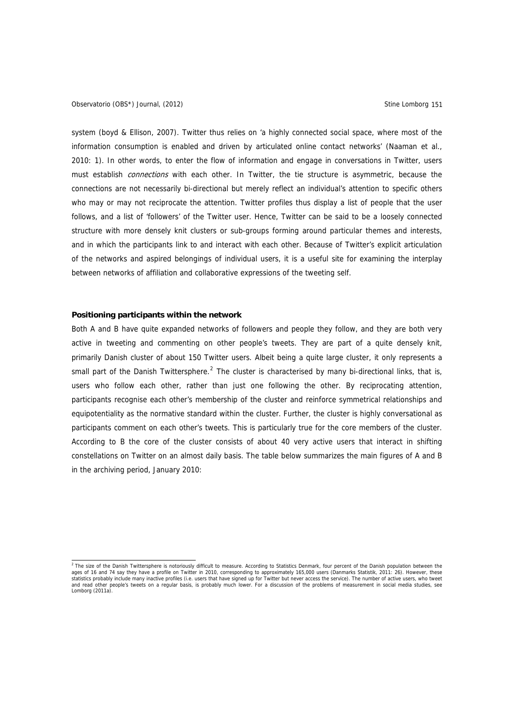system (boyd & Ellison, 2007). Twitter thus relies on 'a highly connected social space, where most of the information consumption is enabled and driven by articulated online contact networks' (Naaman et al., 2010: 1). In other words, to enter the flow of information and engage in conversations in Twitter, users must establish *connections* with each other. In Twitter, the tie structure is asymmetric, because the connections are not necessarily bi-directional but merely reflect an individual's attention to specific others who may or may not reciprocate the attention. Twitter profiles thus display a list of people that the user follows, and a list of 'followers' of the Twitter user. Hence, Twitter can be said to be a loosely connected structure with more densely knit clusters or sub-groups forming around particular themes and interests, and in which the participants link to and interact with each other. Because of Twitter's explicit articulation of the networks and aspired belongings of individual users, it is a useful site for examining the interplay between networks of affiliation and collaborative expressions of the tweeting self.

## **Positioning participants within the network**

Both A and B have quite expanded networks of followers and people they follow, and they are both very active in tweeting and commenting on other people's tweets. They are part of a quite densely knit, primarily Danish cluster of about 150 Twitter users. Albeit being a quite large cluster, it only represents a small part of the Danish Twittersphere.<sup>[2](#page-4-0)</sup> The cluster is characterised by many bi-directional links, that is, users who follow each other, rather than just one following the other. By reciprocating attention, participants recognise each other's membership of the cluster and reinforce symmetrical relationships and equipotentiality as the normative standard within the cluster. Further, the cluster is highly conversational as participants comment on each other's tweets. This is particularly true for the core members of the cluster. According to B the core of the cluster consists of about 40 very active users that interact in shifting constellations on Twitter on an almost daily basis. The table below summarizes the main figures of A and B in the archiving period, January 2010:

<span id="page-4-0"></span><sup>&</sup>lt;sup>2</sup> The size of the Danish Twittersphere is notoriously difficult to measure. According to Statistics Denmark, four percent of the Danish population between the ages of 16 and 74 say they have a profile on Twitter in 2010, corresponding to approximately 165,000 users (Danmarks Statistik, 2011: 26). However, these<br>statistics probably include many inactive profiles (i.e. users that and read other people's tweets on a regular basis, is probably much lower. For a discussion of the problems of measurement in social media studies, see Lomborg (2011a).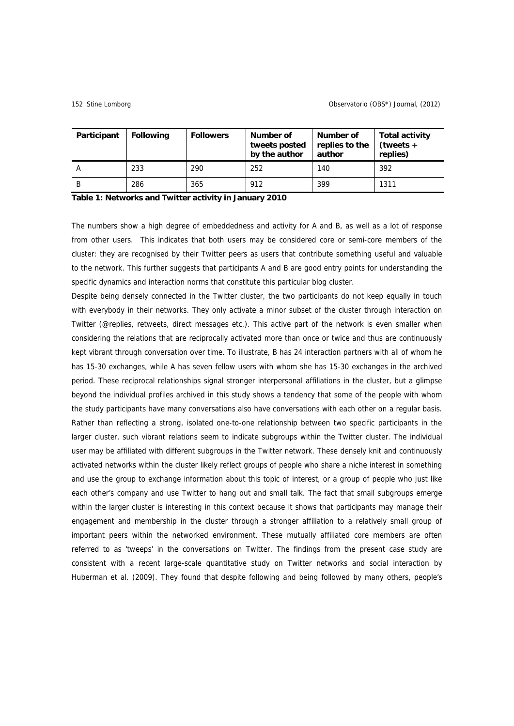| Participant | <b>Following</b> | <b>Followers</b> | Number of<br>tweets posted<br>by the author | Number of<br>replies to the<br>author | <b>Total activity</b><br>$(tweets +$<br>replies) |
|-------------|------------------|------------------|---------------------------------------------|---------------------------------------|--------------------------------------------------|
|             | 233              | 290              | 252                                         | 140                                   | 392                                              |
| В           | 286              | 365              | 912                                         | 399                                   | 1311                                             |

### **Table 1: Networks and Twitter activity in January 2010**

The numbers show a high degree of embeddedness and activity for A and B, as well as a lot of response from other users. This indicates that both users may be considered core or semi-core members of the cluster: they are recognised by their Twitter peers as users that contribute something useful and valuable to the network. This further suggests that participants A and B are good entry points for understanding the specific dynamics and interaction norms that constitute this particular blog cluster.

Despite being densely connected in the Twitter cluster, the two participants do not keep equally in touch with everybody in their networks. They only activate a minor subset of the cluster through interaction on Twitter (@replies, retweets, direct messages etc.). This active part of the network is even smaller when considering the relations that are reciprocally activated more than once or twice and thus are continuously kept vibrant through conversation over time. To illustrate, B has 24 interaction partners with all of whom he has 15-30 exchanges, while A has seven fellow users with whom she has 15-30 exchanges in the archived period. These reciprocal relationships signal stronger interpersonal affiliations in the cluster, but a glimpse beyond the individual profiles archived in this study shows a tendency that some of the people with whom the study participants have many conversations also have conversations with each other on a regular basis. Rather than reflecting a strong, isolated one-to-one relationship between two specific participants in the larger cluster, such vibrant relations seem to indicate subgroups within the Twitter cluster. The individual user may be affiliated with different subgroups in the Twitter network. These densely knit and continuously activated networks within the cluster likely reflect groups of people who share a niche interest in something and use the group to exchange information about this topic of interest, or a group of people who just like each other's company and use Twitter to hang out and small talk. The fact that small subgroups emerge within the larger cluster is interesting in this context because it shows that participants may manage their engagement and membership in the cluster through a stronger affiliation to a relatively small group of important peers within the networked environment. These mutually affiliated core members are often referred to as 'tweeps' in the conversations on Twitter. The findings from the present case study are consistent with a recent large-scale quantitative study on Twitter networks and social interaction by Huberman et al. (2009). They found that despite following and being followed by many others, people's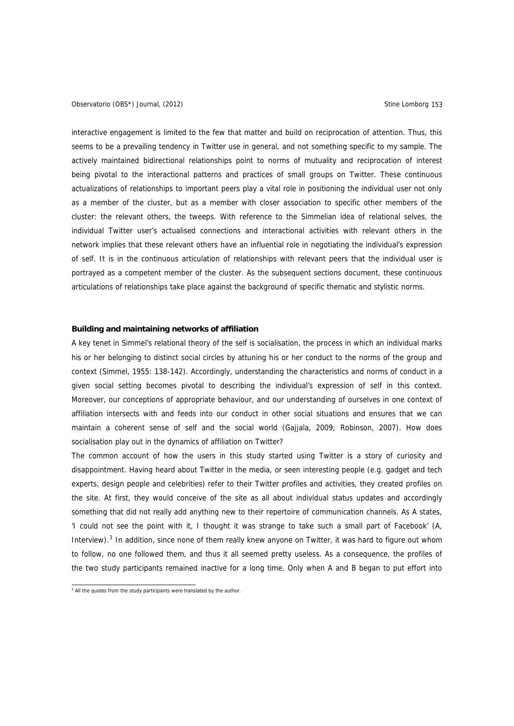interactive engagement is limited to the few that matter and build on reciprocation of attention. Thus, this seems to be a prevailing tendency in Twitter use in general, and not something specific to my sample. The actively maintained bidirectional relationships point to norms of mutuality and reciprocation of interest being pivotal to the interactional patterns and practices of small groups on Twitter. These continuous actualizations of relationships to important peers play a vital role in positioning the individual user not only as a member of the cluster, but as a member with closer association to specific other members of the cluster: the relevant others, the tweeps. With reference to the Simmelian idea of relational selves, the individual Twitter user's actualised connections and interactional activities with relevant others in the network implies that these relevant others have an influential role in negotiating the individual's expression of self. It is in the continuous articulation of relationships with relevant peers that the individual user is portrayed as a competent member of the cluster. As the subsequent sections document, these continuous articulations of relationships take place against the background of specific thematic and stylistic norms.

### **Building and maintaining networks of affiliation**

A key tenet in Simmel's relational theory of the self is socialisation, the process in which an individual marks his or her belonging to distinct social circles by attuning his or her conduct to the norms of the group and context (Simmel, 1955: 138-142). Accordingly, understanding the characteristics and norms of conduct in a given social setting becomes pivotal to describing the individual's expression of self in this context. Moreover, our conceptions of appropriate behaviour, and our understanding of ourselves in one context of affiliation intersects with and feeds into our conduct in other social situations and ensures that we can maintain a coherent sense of self and the social world (Gajjala, 2009; Robinson, 2007). How does socialisation play out in the dynamics of affiliation on Twitter?

The common account of how the users in this study started using Twitter is a story of curiosity and disappointment. Having heard about Twitter in the media, or seen interesting people (e.g. gadget and tech experts, design people and celebrities) refer to their Twitter profiles and activities, they created profiles on the site. At first, they would conceive of the site as all about individual status updates and accordingly something that did not really add anything new to their repertoire of communication channels. As A states, 'I could not see the point with it, I thought it was strange to take such a small part of Facebook' (A, Interview).<sup>[3](#page-6-0)</sup> In addition, since none of them really knew anyone on Twitter, it was hard to figure out whom to follow, no one followed them, and thus it all seemed pretty useless. As a consequence, the profiles of the two study participants remained inactive for a long time. Only when A and B began to put effort into

<span id="page-6-0"></span><sup>&</sup>lt;sup>3</sup> All the quotes from the study participants were translated by the author.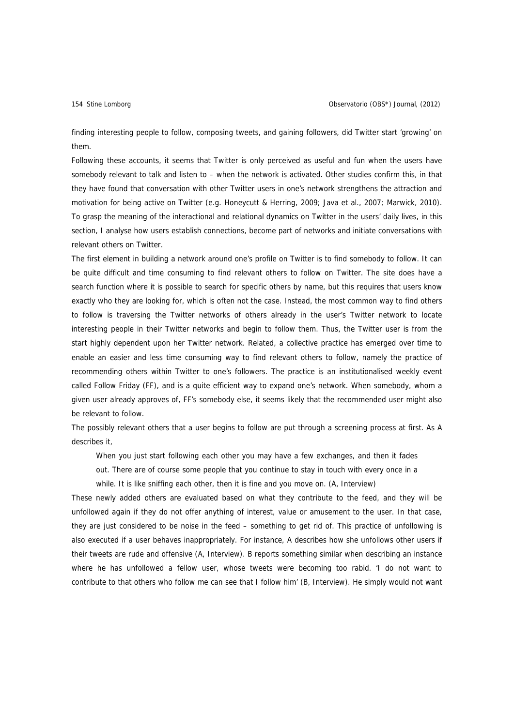finding interesting people to follow, composing tweets, and gaining followers, did Twitter start 'growing' on them.

Following these accounts, it seems that Twitter is only perceived as useful and fun when the users have somebody relevant to talk and listen to – when the network is activated. Other studies confirm this, in that they have found that conversation with other Twitter users in one's network strengthens the attraction and motivation for being active on Twitter (e.g. Honeycutt & Herring, 2009; Java et al., 2007; Marwick, 2010). To grasp the meaning of the interactional and relational dynamics on Twitter in the users' daily lives, in this section, I analyse how users establish connections, become part of networks and initiate conversations with relevant others on Twitter.

The first element in building a network around one's profile on Twitter is to find somebody to follow. It can be quite difficult and time consuming to find relevant others to follow on Twitter. The site does have a search function where it is possible to search for specific others by name, but this requires that users know exactly who they are looking for, which is often not the case. Instead, the most common way to find others to follow is traversing the Twitter networks of others already in the user's Twitter network to locate interesting people in their Twitter networks and begin to follow them. Thus, the Twitter user is from the start highly dependent upon her Twitter network. Related, a collective practice has emerged over time to enable an easier and less time consuming way to find relevant others to follow, namely the practice of recommending others within Twitter to one's followers. The practice is an institutionalised weekly event called Follow Friday (FF), and is a quite efficient way to expand one's network. When somebody, whom a given user already approves of, FF's somebody else, it seems likely that the recommended user might also be relevant to follow.

The possibly relevant others that a user begins to follow are put through a screening process at first. As A describes it,

When you just start following each other you may have a few exchanges, and then it fades

out. There are of course some people that you continue to stay in touch with every once in a

while. It is like sniffing each other, then it is fine and you move on. (A, Interview)

These newly added others are evaluated based on what they contribute to the feed, and they will be unfollowed again if they do not offer anything of interest, value or amusement to the user. In that case, they are just considered to be noise in the feed – something to get rid of. This practice of unfollowing is also executed if a user behaves inappropriately. For instance, A describes how she unfollows other users if their tweets are rude and offensive (A, Interview). B reports something similar when describing an instance where he has unfollowed a fellow user, whose tweets were becoming too rabid. 'I do not want to contribute to that others who follow me can see that I follow him' (B, Interview). He simply would not want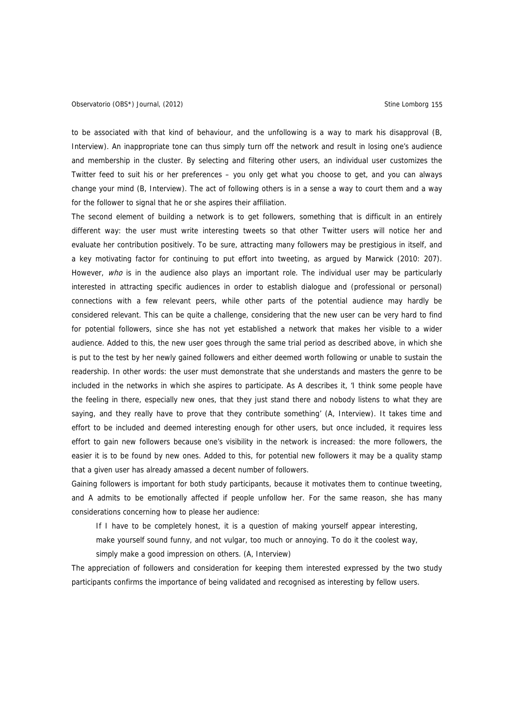to be associated with that kind of behaviour, and the unfollowing is a way to mark his disapproval (B, Interview). An inappropriate tone can thus simply turn off the network and result in losing one's audience and membership in the cluster. By selecting and filtering other users, an individual user customizes the Twitter feed to suit his or her preferences – you only get what you choose to get, and you can always change your mind (B, Interview). The act of following others is in a sense a way to court them and a way for the follower to signal that he or she aspires their affiliation.

The second element of building a network is to get followers, something that is difficult in an entirely different way: the user must write interesting tweets so that other Twitter users will notice her and evaluate her contribution positively. To be sure, attracting many followers may be prestigious in itself, and a key motivating factor for continuing to put effort into tweeting, as argued by Marwick (2010: 207). However, who is in the audience also plays an important role. The individual user may be particularly interested in attracting specific audiences in order to establish dialogue and (professional or personal) connections with a few relevant peers, while other parts of the potential audience may hardly be considered relevant. This can be quite a challenge, considering that the new user can be very hard to find for potential followers, since she has not yet established a network that makes her visible to a wider audience. Added to this, the new user goes through the same trial period as described above, in which she is put to the test by her newly gained followers and either deemed worth following or unable to sustain the readership. In other words: the user must demonstrate that she understands and masters the genre to be included in the networks in which she aspires to participate. As A describes it, 'I think some people have the feeling in there, especially new ones, that they just stand there and nobody listens to what they are saying, and they really have to prove that they contribute something' (A, Interview). It takes time and effort to be included and deemed interesting enough for other users, but once included, it requires less effort to gain new followers because one's visibility in the network is increased: the more followers, the easier it is to be found by new ones. Added to this, for potential new followers it may be a quality stamp that a given user has already amassed a decent number of followers.

Gaining followers is important for both study participants, because it motivates them to continue tweeting, and A admits to be emotionally affected if people unfollow her. For the same reason, she has many considerations concerning how to please her audience:

If I have to be completely honest, it is a question of making yourself appear interesting,

make yourself sound funny, and not vulgar, too much or annoying. To do it the coolest way, simply make a good impression on others. (A, Interview)

The appreciation of followers and consideration for keeping them interested expressed by the two study participants confirms the importance of being validated and recognised as interesting by fellow users.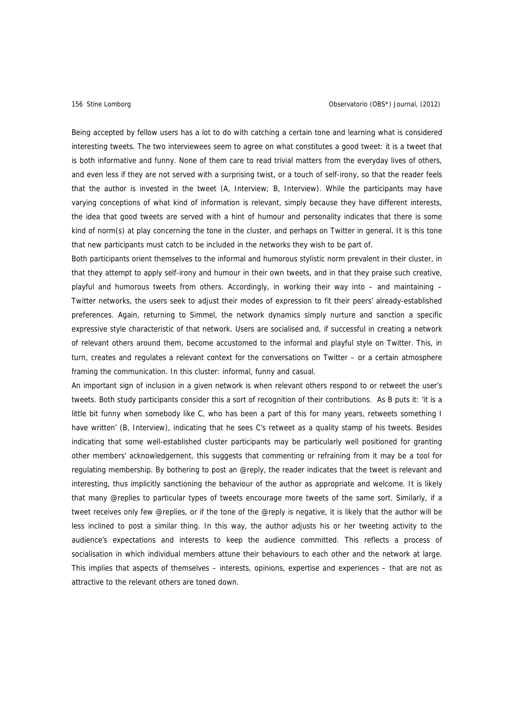Being accepted by fellow users has a lot to do with catching a certain tone and learning what is considered interesting tweets. The two interviewees seem to agree on what constitutes a good tweet: it is a tweet that is both informative and funny. None of them care to read trivial matters from the everyday lives of others, and even less if they are not served with a surprising twist, or a touch of self-irony, so that the reader feels that the author is invested in the tweet (A, Interview; B, Interview). While the participants may have varying conceptions of what kind of information is relevant, simply because they have different interests, the idea that good tweets are served with a hint of humour and personality indicates that there is some kind of norm(s) at play concerning the tone in the cluster, and perhaps on Twitter in general. It is this tone that new participants must catch to be included in the networks they wish to be part of.

Both participants orient themselves to the informal and humorous stylistic norm prevalent in their cluster, in that they attempt to apply self-irony and humour in their own tweets, and in that they praise such creative, playful and humorous tweets from others. Accordingly, in working their way into – and maintaining – Twitter networks, the users seek to adjust their modes of expression to fit their peers' already-established preferences. Again, returning to Simmel, the network dynamics simply nurture and sanction a specific expressive style characteristic of that network. Users are socialised and, if successful in creating a network of relevant others around them, become accustomed to the informal and playful style on Twitter. This, in turn, creates and regulates a relevant context for the conversations on Twitter – or a certain atmosphere framing the communication. In this cluster: informal, funny and casual.

An important sign of inclusion in a given network is when relevant others respond to or retweet the user's tweets. Both study participants consider this a sort of recognition of their contributions. As B puts it: 'it is a little bit funny when somebody like C, who has been a part of this for many years, retweets something I have written' (B, Interview), indicating that he sees C's retweet as a quality stamp of his tweets. Besides indicating that some well-established cluster participants may be particularly well positioned for granting other members' acknowledgement, this suggests that commenting or refraining from it may be a tool for regulating membership. By bothering to post an @reply, the reader indicates that the tweet is relevant and interesting, thus implicitly sanctioning the behaviour of the author as appropriate and welcome. It is likely that many @replies to particular types of tweets encourage more tweets of the same sort. Similarly, if a tweet receives only few @replies, or if the tone of the @reply is negative, it is likely that the author will be less inclined to post a similar thing. In this way, the author adjusts his or her tweeting activity to the audience's expectations and interests to keep the audience committed. This reflects a process of socialisation in which individual members attune their behaviours to each other and the network at large. This implies that aspects of themselves – interests, opinions, expertise and experiences – that are not as attractive to the relevant others are toned down.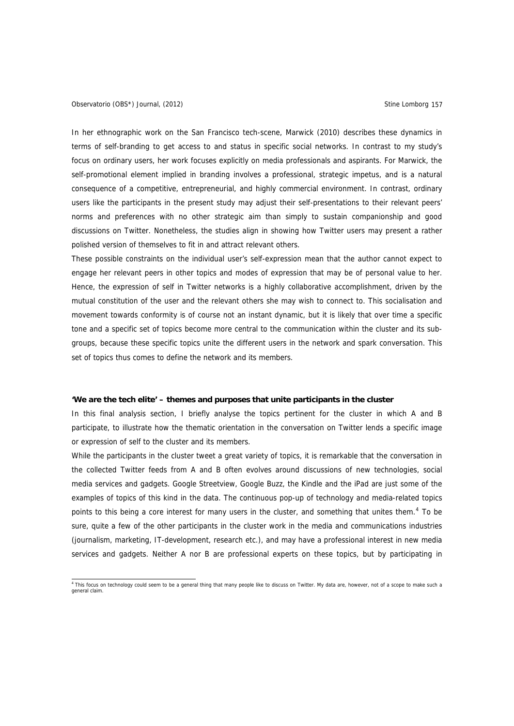### Observatorio (OBS\*) Journal, (2012) Charles and Company Stine Lomborg 157

In her ethnographic work on the San Francisco tech-scene, Marwick (2010) describes these dynamics in terms of self-branding to get access to and status in specific social networks. In contrast to my study's focus on ordinary users, her work focuses explicitly on media professionals and aspirants. For Marwick, the self-promotional element implied in branding involves a professional, strategic impetus, and is a natural consequence of a competitive, entrepreneurial, and highly commercial environment. In contrast, ordinary users like the participants in the present study may adjust their self-presentations to their relevant peers' norms and preferences with no other strategic aim than simply to sustain companionship and good discussions on Twitter. Nonetheless, the studies align in showing how Twitter users may present a rather polished version of themselves to fit in and attract relevant others.

These possible constraints on the individual user's self-expression mean that the author cannot expect to engage her relevant peers in other topics and modes of expression that may be of personal value to her. Hence, the expression of self in Twitter networks is a highly collaborative accomplishment, driven by the mutual constitution of the user and the relevant others she may wish to connect to. This socialisation and movement towards conformity is of course not an instant dynamic, but it is likely that over time a specific tone and a specific set of topics become more central to the communication within the cluster and its subgroups, because these specific topics unite the different users in the network and spark conversation. This set of topics thus comes to define the network and its members.

#### **'We are the tech elite' – themes and purposes that unite participants in the cluster**

In this final analysis section, I briefly analyse the topics pertinent for the cluster in which A and B participate, to illustrate how the thematic orientation in the conversation on Twitter lends a specific image or expression of self to the cluster and its members.

While the participants in the cluster tweet a great variety of topics, it is remarkable that the conversation in the collected Twitter feeds from A and B often evolves around discussions of new technologies, social media services and gadgets. Google Streetview, Google Buzz, the Kindle and the iPad are just some of the examples of topics of this kind in the data. The continuous pop-up of technology and media-related topics points to this being a core interest for many users in the cluster, and something that unites them.<sup>[4](#page-10-0)</sup> To be sure, quite a few of the other participants in the cluster work in the media and communications industries (journalism, marketing, IT-development, research etc.), and may have a professional interest in new media services and gadgets. Neither A nor B are professional experts on these topics, but by participating in

<span id="page-10-0"></span> 4 This focus on technology could seem to be a general thing that many people like to discuss on Twitter. My data are, however, not of a scope to make such a general claim.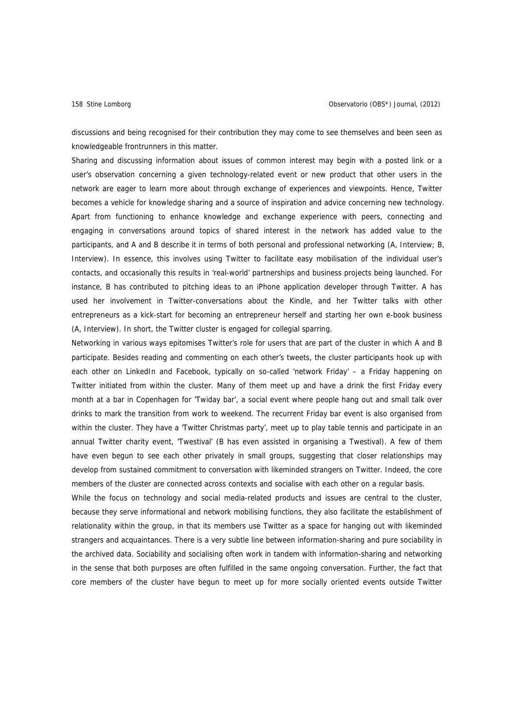discussions and being recognised for their contribution they may come to see themselves and been seen as knowledgeable frontrunners in this matter.

Sharing and discussing information about issues of common interest may begin with a posted link or a user's observation concerning a given technology-related event or new product that other users in the network are eager to learn more about through exchange of experiences and viewpoints. Hence, Twitter becomes a vehicle for knowledge sharing and a source of inspiration and advice concerning new technology. Apart from functioning to enhance knowledge and exchange experience with peers, connecting and engaging in conversations around topics of shared interest in the network has added value to the participants, and A and B describe it in terms of both personal and professional networking (A, Interview; B, Interview). In essence, this involves using Twitter to facilitate easy mobilisation of the individual user's contacts, and occasionally this results in 'real-world' partnerships and business projects being launched. For instance, B has contributed to pitching ideas to an iPhone application developer through Twitter. A has used her involvement in Twitter-conversations about the Kindle, and her Twitter talks with other entrepreneurs as a kick-start for becoming an entrepreneur herself and starting her own e-book business (A, Interview). In short, the Twitter cluster is engaged for collegial sparring.

Networking in various ways epitomises Twitter's role for users that are part of the cluster in which A and B participate. Besides reading and commenting on each other's tweets, the cluster participants hook up with each other on LinkedIn and Facebook, typically on so-called 'network Friday' - a Friday happening on Twitter initiated from within the cluster. Many of them meet up and have a drink the first Friday every month at a bar in Copenhagen for 'Twiday bar', a social event where people hang out and small talk over drinks to mark the transition from work to weekend. The recurrent Friday bar event is also organised from within the cluster. They have a 'Twitter Christmas party', meet up to play table tennis and participate in an annual Twitter charity event, 'Twestival' (B has even assisted in organising a Twestival). A few of them have even begun to see each other privately in small groups, suggesting that closer relationships may develop from sustained commitment to conversation with likeminded strangers on Twitter. Indeed, the core members of the cluster are connected across contexts and socialise with each other on a regular basis.

While the focus on technology and social media-related products and issues are central to the cluster, because they serve informational and network mobilising functions, they also facilitate the establishment of relationality within the group, in that its members use Twitter as a space for hanging out with likeminded strangers and acquaintances. There is a very subtle line between information-sharing and pure sociability in the archived data. Sociability and socialising often work in tandem with information-sharing and networking in the sense that both purposes are often fulfilled in the same ongoing conversation. Further, the fact that core members of the cluster have begun to meet up for more socially oriented events outside Twitter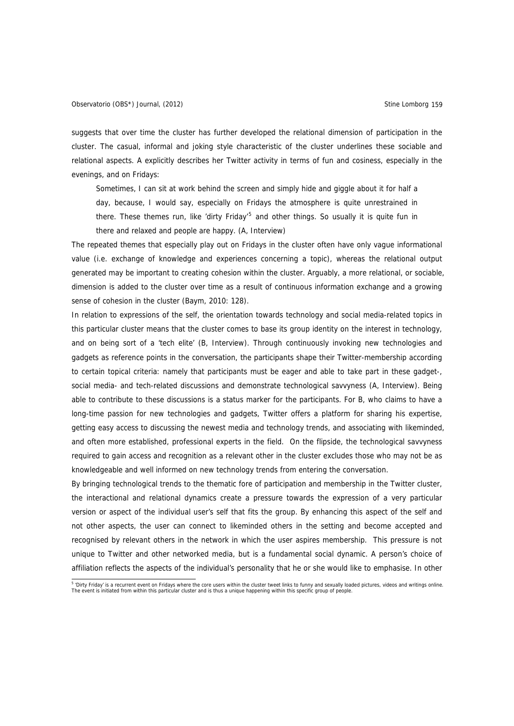suggests that over time the cluster has further developed the relational dimension of participation in the cluster. The casual, informal and joking style characteristic of the cluster underlines these sociable and relational aspects. A explicitly describes her Twitter activity in terms of fun and cosiness, especially in the evenings, and on Fridays:

Sometimes, I can sit at work behind the screen and simply hide and giggle about it for half a day, because, I would say, especially on Fridays the atmosphere is quite unrestrained in there. These themes run, like 'dirty Friday'<sup>[5](#page-12-0)</sup> and other things. So usually it is quite fun in there and relaxed and people are happy. (A, Interview)

The repeated themes that especially play out on Fridays in the cluster often have only vague informational value (i.e. exchange of knowledge and experiences concerning a topic), whereas the relational output generated may be important to creating cohesion within the cluster. Arguably, a more relational, or sociable, dimension is added to the cluster over time as a result of continuous information exchange and a growing sense of cohesion in the cluster (Baym, 2010: 128).

In relation to expressions of the self, the orientation towards technology and social media-related topics in this particular cluster means that the cluster comes to base its group identity on the interest in technology, and on being sort of a 'tech elite' (B, Interview). Through continuously invoking new technologies and gadgets as reference points in the conversation, the participants shape their Twitter-membership according to certain topical criteria: namely that participants must be eager and able to take part in these gadget-, social media- and tech-related discussions and demonstrate technological savvyness (A, Interview). Being able to contribute to these discussions is a status marker for the participants. For B, who claims to have a long-time passion for new technologies and gadgets, Twitter offers a platform for sharing his expertise, getting easy access to discussing the newest media and technology trends, and associating with likeminded, and often more established, professional experts in the field. On the flipside, the technological savvyness required to gain access and recognition as a relevant other in the cluster excludes those who may not be as knowledgeable and well informed on new technology trends from entering the conversation.

By bringing technological trends to the thematic fore of participation and membership in the Twitter cluster, the interactional and relational dynamics create a pressure towards the expression of a very particular version or aspect of the individual user's self that fits the group. By enhancing this aspect of the self and not other aspects, the user can connect to likeminded others in the setting and become accepted and recognised by relevant others in the network in which the user aspires membership. This pressure is not unique to Twitter and other networked media, but is a fundamental social dynamic. A person's choice of affiliation reflects the aspects of the individual's personality that he or she would like to emphasise. In other

<span id="page-12-0"></span><sup>&</sup>lt;sup>5</sup> 'Dirty Friday' is a recurrent event on Fridays where the core users within the cluster tweet links to funny and sexually loaded pictures, videos and writings online. The event is initiated from within this particular cluster and is thus a unique happening within this specific group of people.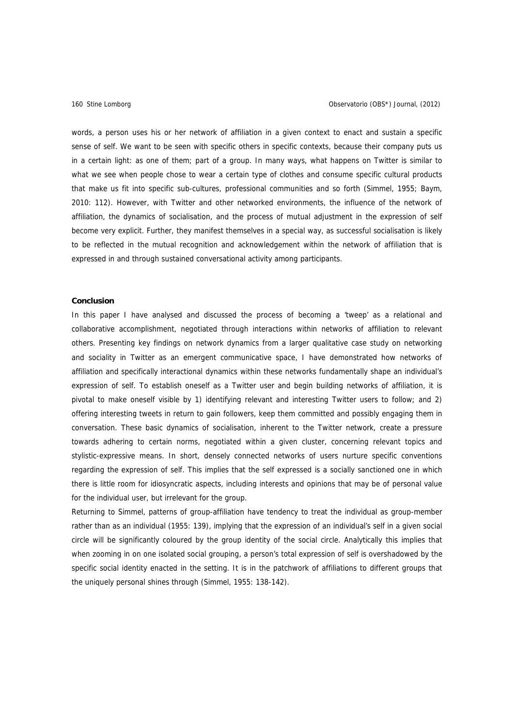words, a person uses his or her network of affiliation in a given context to enact and sustain a specific sense of self. We want to be seen with specific others in specific contexts, because their company puts us in a certain light: as one of them; part of a group. In many ways, what happens on Twitter is similar to what we see when people chose to wear a certain type of clothes and consume specific cultural products that make us fit into specific sub-cultures, professional communities and so forth (Simmel, 1955; Baym, 2010: 112). However, with Twitter and other networked environments, the influence of the network of affiliation, the dynamics of socialisation, and the process of mutual adjustment in the expression of self become very explicit. Further, they manifest themselves in a special way, as successful socialisation is likely to be reflected in the mutual recognition and acknowledgement within the network of affiliation that is expressed in and through sustained conversational activity among participants.

### **Conclusion**

In this paper I have analysed and discussed the process of becoming a 'tweep' as a relational and collaborative accomplishment, negotiated through interactions within networks of affiliation to relevant others. Presenting key findings on network dynamics from a larger qualitative case study on networking and sociality in Twitter as an emergent communicative space, I have demonstrated how networks of affiliation and specifically interactional dynamics within these networks fundamentally shape an individual's expression of self. To establish oneself as a Twitter user and begin building networks of affiliation, it is pivotal to make oneself visible by 1) identifying relevant and interesting Twitter users to follow; and 2) offering interesting tweets in return to gain followers, keep them committed and possibly engaging them in conversation. These basic dynamics of socialisation, inherent to the Twitter network, create a pressure towards adhering to certain norms, negotiated within a given cluster, concerning relevant topics and stylistic-expressive means. In short, densely connected networks of users nurture specific conventions regarding the expression of self. This implies that the self expressed is a socially sanctioned one in which there is little room for idiosyncratic aspects, including interests and opinions that may be of personal value for the individual user, but irrelevant for the group.

Returning to Simmel, patterns of group-affiliation have tendency to treat the individual as group-member rather than as an individual (1955: 139), implying that the expression of an individual's self in a given social circle will be significantly coloured by the group identity of the social circle. Analytically this implies that when zooming in on one isolated social grouping, a person's total expression of self is overshadowed by the specific social identity enacted in the setting. It is in the patchwork of affiliations to different groups that the uniquely personal shines through (Simmel, 1955: 138-142).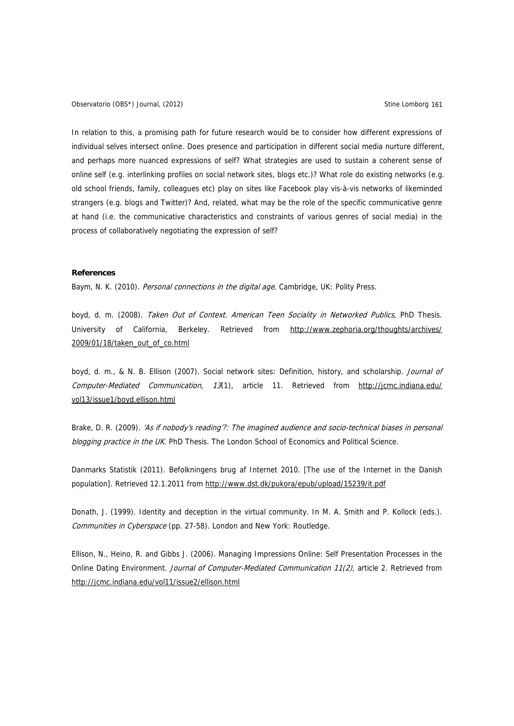Observatorio (OBS\*) Journal, (2012) Charles and Company Stine Lomborg 161

In relation to this, a promising path for future research would be to consider how different expressions of individual selves intersect online. Does presence and participation in different social media nurture different, and perhaps more nuanced expressions of self? What strategies are used to sustain a coherent sense of online self (e.g. interlinking profiles on social network sites, blogs etc.)? What role do existing networks (e.g. old school friends, family, colleagues etc) play on sites like Facebook play vis-à-vis networks of likeminded strangers (e.g. blogs and Twitter)? And, related, what may be the role of the specific communicative genre at hand (i.e. the communicative characteristics and constraints of various genres of social media) in the process of collaboratively negotiating the expression of self?

### **References**

Baym, N. K. (2010). Personal connections in the digital age. Cambridge, UK: Polity Press.

boyd, d. m. (2008). Taken Out of Context. American Teen Sociality in Networked Publics, PhD Thesis. University of California, Berkeley. Retrieved from <http://www.zephoria.org/thoughts/archives/> 2009/01/18/taken\_out\_of\_co.html

boyd, d. m., & N. B. Ellison (2007). Social network sites: Definition, history, and scholarship. Journal of Computer-Mediated Communication, 13(1), article 11. Retrieved from http://jcmc.indiana.edu/ [vol13/issue1/boyd.ellison.html](http://jcmc.indiana.edu/%20vol13/issue1/boyd.ellison.html)

Brake, D. R. (2009). 'As if nobody's reading'?: The imagined audience and socio-technical biases in personal blogging practice in the UK. PhD Thesis. The London School of Economics and Political Science.

Danmarks Statistik (2011). Befolkningens brug af Internet 2010. [The use of the Internet in the Danish population]. Retrieved 12.1.2011 from<http://www.dst.dk/pukora/epub/upload/15239/it.pdf>

Donath, J. (1999). Identity and deception in the virtual community. In M. A. Smith and P. Kollock (eds.). Communities in Cyberspace (pp. 27-58). London and New York: Routledge.

Ellison, N., Heino, R. and Gibbs J. (2006). Managing Impressions Online: Self Presentation Processes in the Online Dating Environment. Journal of Computer-Mediated Communication 11(2), article 2. Retrieved from <http://jcmc.indiana.edu/vol11/issue2/ellison.html>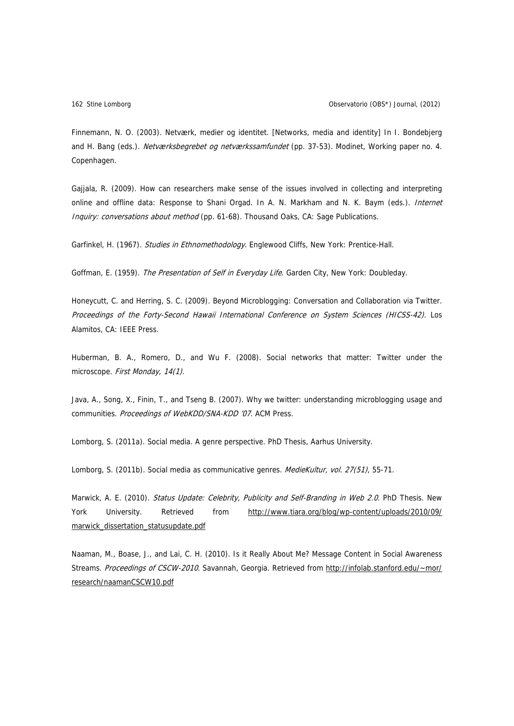Finnemann, N. O. (2003). Netværk, medier og identitet. [Networks, media and identity] In I. Bondebjerg and H. Bang (eds.). Netværksbegrebet og netværkssamfundet (pp. 37-53). Modinet, Working paper no. 4. Copenhagen.

Gajjala, R. (2009). How can researchers make sense of the issues involved in collecting and interpreting online and offline data: Response to Shani Orgad. In A. N. Markham and N. K. Baym (eds.). Internet Inquiry: conversations about method (pp. 61-68). Thousand Oaks, CA: Sage Publications.

Garfinkel, H. (1967). Studies in Ethnomethodology. Englewood Cliffs, New York: Prentice-Hall.

Goffman, E. (1959). The Presentation of Self in Everyday Life. Garden City, New York: Doubleday.

Honeycutt, C. and Herring, S. C. (2009). Beyond Microblogging: Conversation and Collaboration via Twitter. Proceedings of the Forty-Second Hawaii International Conference on System Sciences (HICSS-42). Los Alamitos, CA: IEEE Press.

Huberman, B. A., Romero, D., and Wu F. (2008). Social networks that matter: Twitter under the microscope. First Monday, 14(1).

Java, A., Song, X., Finin, T., and Tseng B. (2007). Why we twitter: understanding microblogging usage and communities. Proceedings of WebKDD/SNA-KDD '07. ACM Press.

Lomborg, S. (2011a). Social media. A genre perspective. PhD Thesis, Aarhus University.

Lomborg, S. (2011b). Social media as communicative genres. MedieKultur, vol. 27(51), 55-71.

Marwick, A. E. (2010). Status Update: Celebrity, Publicity and Self-Branding in Web 2.0. PhD Thesis. New York University. Retrieved from http://www.tiara.org/blog/wp-content/uploads/2010/09/ marwick dissertation statusupdate.pdf

Naaman, M., Boase, J., and Lai, C. H. (2010). [Is it Really About Me? Message Content in Social Awareness](http://infolab.stanford.edu/%7Emor/research/naamanCSCW10.pdf)  [Streams.](http://infolab.stanford.edu/%7Emor/research/naamanCSCW10.pdf) Proceedings of CSCW-2010. Savannah, Georgia. Retrieved from [http://infolab.stanford.edu/~mor/](http://infolab.stanford.edu/%7Emor/) research/naamanCSCW10.pdf